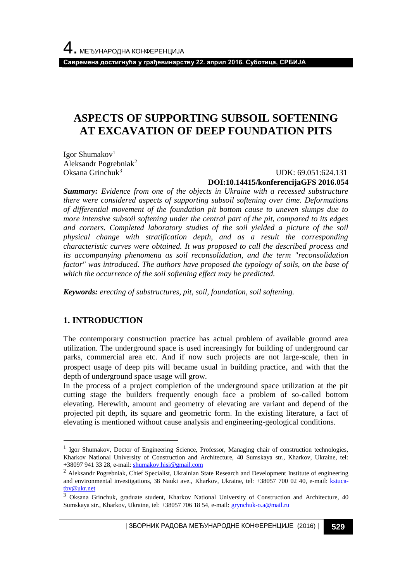**Савремена достигнућа у грађевинарству 22. април 2016. Суботица, СРБИЈА**

## **ASPECTS OF SUPPORTING SUBSOIL SOFTENING AT EXCAVATION OF DEEP FOUNDATION PITS**

Igor Shumakov<sup>1</sup> Aleksandr Pogrebniak<sup>2</sup> Oksana Grinchuk<sup>3</sup>

 UDK: 69.051:624.131 **DOI:10.14415/konferencijaGFS 2016.054**

*Summary: Evidence from one of the objects in Ukraine with a recessed substructure there were considered aspects of supporting subsoil softening over time. Deformations of differential movement of the foundation pit bottom cause to uneven slumps due to more intensive subsoil softening under the central part of the pit, compared to its edges and corners. Completed laboratory studies of the soil yielded a picture of the soil physical change with stratification depth, and as a result the corresponding characteristic curves were obtained. It was proposed to call the described process and its accompanying phenomena as soil reconsolidation, and the term "reconsolidation*  factor" was introduced. The authors have proposed the typology of soils, on the base of *which the occurrence of the soil softening effect may be predicted.*

*Keywords: erecting of substructures, pit, soil, foundation, soil softening.*

## **1. INTRODUCTION**

l

The contemporary construction practice has actual problem of available ground area utilization. The underground space is used increasingly for building of underground car parks, commercial area etc. And if now such projects are not large-scale, then in prospect usage of deep pits will became usual in building practice, and with that the depth of underground space usage will grow.

In the process of a project completion of the underground space utilization at the pit cutting stage the builders frequently enough face a problem of so-called bottom elevating. Herewith, amount and geometry of elevating are variant and depend of the projected pit depth, its square and geometric form. In the existing literature, a fact of elevating is mentioned without cause analysis and engineering-geological conditions.

<sup>&</sup>lt;sup>1</sup> Igor Shumakov, Doctor of Engineering Science, Professor, Managing chair of construction technologies, Kharkov National University of Construction and Architecture, 40 Sumskaya str., Kharkov, Ukraine, tel: +38097 941 33 28, e-mail[: shumakov.hisi@gmail.com](mailto:shumakov.hisi@gmail.com)

<sup>&</sup>lt;sup>2</sup> Aleksandr Pogrebniak, Chief Specialist, Ukrainian State Research and Development Institute of engineering and environmental investigations, 38 Nauki ave., Kharkov, Ukraine, tel: +38057 700 02 40, e-mail: [kstuca](mailto:kstuca-tbv@ukr.net)[tbv@ukr.net](mailto:kstuca-tbv@ukr.net)

<sup>3</sup> Oksana Grinchuk, graduate student, Kharkov National University of Construction and Architecture, 40 Sumskaya str., Kharkov, Ukraine, tel: +38057 706 18 54, e-mail: [grynchuk-o.a@mail.ru](mailto:grynchuk-o.a@mail.ru)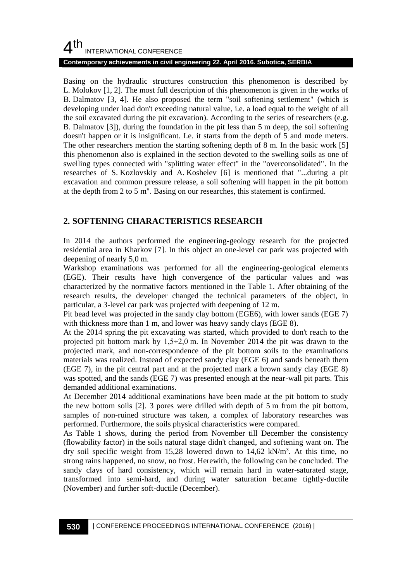## $4<sup>th</sup>$ INTERNATIONAL CONFERENCE

#### **Contemporary achievements in civil engineering 22. April 2016. Subotica, SERBIA**

Basing on the hydraulic structures construction this phenomenon is described by L. Molokov [1, 2]. The most full description of this phenomenon is given in the works of B. Dalmatov [3, 4]. He also proposed the term "soil softening settlement" (which is developing under load don't exceeding natural value, i.e. a load equal to the weight of all the soil excavated during the pit excavation). According to the series of researchers (e.g. B. Dalmatov [3]), during the foundation in the pit less than 5 m deep, the soil softening doesn't happen or it is insignificant. I.e. it starts from the depth of 5 and mode meters. The other researchers mention the starting softening depth of 8 m. In the basic work [5] this phenomenon also is explained in the section devoted to the swelling soils as one of swelling types connected with "splitting water effect" in the "overconsolidated". In the researches of S. Kozlovskiy and A. Koshelev [6] is mentioned that "...during a pit excavation and common pressure release, a soil softening will happen in the pit bottom at the depth from 2 to 5 m". Basing on our researches, this statement is confirmed.

#### **2. SOFTENING CHARACTERISTICS RESEARCH**

In 2014 the authors performed the engineering-geology research for the projected residential area in Kharkov [7]. In this object an one-level car park was projected with deepening of nearly 5,0 m.

Warkshop examinations was performed for all the engineering-geological elements (EGE). Their results have high convergence of the particular values and was characterized by the normative factors mentioned in the Table 1. After obtaining of the research results, the developer changed the technical parameters of the object, in particular, a 3-level car park was projected with deepening of 12 m.

Pit bead level was projected in the sandy clay bottom (EGE6), with lower sands (EGE 7) with thickness more than 1 m, and lower was heavy sandy clays (EGE 8).

At the 2014 spring the pit excavating was started, which provided to don't reach to the projected pit bottom mark by  $1,5\div 2,0$  m. In November 2014 the pit was drawn to the projected mark, and non-correspondence of the pit bottom soils to the examinations materials was realized. Instead of expected sandy clay (EGE 6) and sands beneath them (EGE 7), in the pit central part and at the projected mark a brown sandy clay (EGE 8) was spotted, and the sands (EGE 7) was presented enough at the near-wall pit parts. This demanded additional examinations.

At December 2014 additional examinations have been made at the pit bottom to study the new bottom soils [2]. 3 pores were drilled with depth of 5 m from the pit bottom, samples of non-ruined structure was taken, a complex of laboratory researches was performed. Furthermore, the soils physical characteristics were compared.

As Table 1 shows, during the period from November till December the consistency (flowability factor) in the soils natural stage didn't changed, and softening want on. The dry soil specific weight from 15,28 lowered down to  $14,62$  kN/m<sup>3</sup>. At this time, no strong rains happened, no snow, no frost. Herewith, the following can be concluded. The sandy clays of hard consistency, which will remain hard in water-saturated stage, transformed into semi-hard, and during water saturation became tightly-ductile (November) and further soft-ductile (December).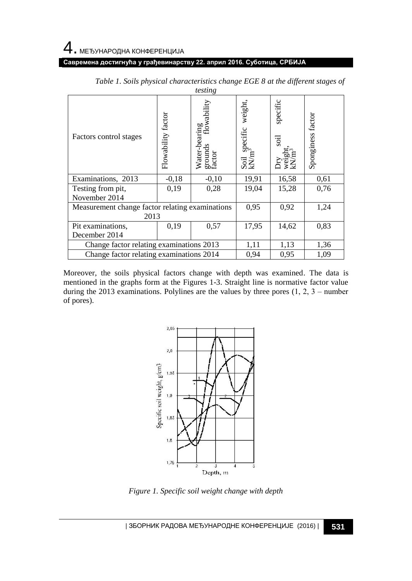#### **Савремена достигнућа у грађевинарству 22. април 2016. Суботица, СРБИЈА**

| ropping                                         |                    |                                                          |                                               |                  |                   |
|-------------------------------------------------|--------------------|----------------------------------------------------------|-----------------------------------------------|------------------|-------------------|
| Factors control stages                          | Flowability factor | Water-bearing<br>grounds flowabilit<br>grounds<br>factor | weight,<br>Soil specific<br>kN/m <sup>3</sup> | specific<br>iios | Sponginess factor |
| Examinations, 2013                              | $-0,18$            | $-0,10$                                                  | 19,91                                         | 16,58            | 0,61              |
| Testing from pit,                               | 0,19               | 0,28                                                     | 19,04                                         | 15,28            | 0,76              |
| November 2014                                   |                    |                                                          |                                               |                  |                   |
| Measurement change factor relating examinations |                    |                                                          | 0,95                                          | 0,92             | 1,24              |
| 2013                                            |                    |                                                          |                                               |                  |                   |
| Pit examinations,                               | 0,19               | 0,57                                                     | 17,95                                         | 14,62            | 0,83              |
| December 2014                                   |                    |                                                          |                                               |                  |                   |
| Change factor relating examinations 2013        |                    |                                                          | 1,11                                          | 1,13             | 1,36              |
| Change factor relating examinations 2014        |                    |                                                          | 0,94                                          | 0,95             | 1,09              |

*Table 1. Soils physical characteristics change EGE 8 at the different stages of testing*

Moreover, the soils physical factors change with depth was examined. The data is mentioned in the graphs form at the Figures 1-3. Straight line is normative factor value during the 2013 examinations. Polylines are the values by three pores  $(1, 2, 3 -$  number of pores).



*Figure 1. Specific soil weight change with depth*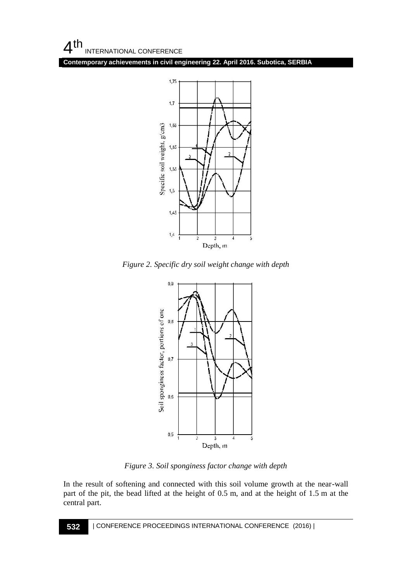$4<sup>th</sup>$ INTERNATIONAL CONFERENCE

**Contemporary achievements in civil engineering 22. April 2016. Subotica, SERBIA**



*Figure 2. Specific dry soil weight change with depth*



*Figure 3. Soil sponginess factor change with depth*

In the result of softening and connected with this soil volume growth at the near-wall part of the pit, the bead lifted at the height of 0.5 m, and at the height of 1.5 m at the central part.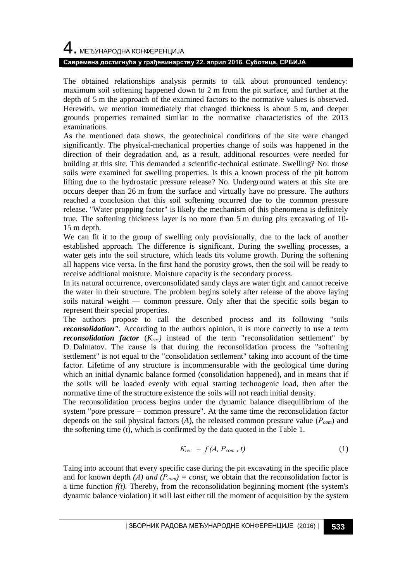# 4. МЕЂУНАРОДНА КОНФЕРЕНЦИЈА

#### **Савремена достигнућа у грађевинарству 22. април 2016. Суботица, СРБИЈА**

The obtained relationships analysis permits to talk about pronounced tendency: maximum soil softening happened down to 2 m from the pit surface, and further at the depth of 5 m the approach of the examined factors to the normative values is observed. Herewith, we mention immediately that changed thickness is about 5 m, and deeper grounds properties remained similar to the normative characteristics of the 2013 examinations.

As the mentioned data shows, the geotechnical conditions of the site were changed significantly. The physical-mechanical properties change of soils was happened in the direction of their degradation and, as a result, additional resources were needed for building at this site. This demanded a scientific-technical estimate. Swelling? No: those soils were examined for swelling properties. Is this a known process of the pit bottom lifting due to the hydrostatic pressure release? No. Underground waters at this site are occurs deeper than 26 m from the surface and virtually have no pressure. The authors reached a conclusion that this soil softening occurred due to the common pressure release. "Water propping factor" is likely the mechanism of this phenomena is definitely true. The softening thickness layer is no more than 5 m during pits excavating of 10- 15 m depth.

We can fit it to the group of swelling only provisionally, due to the lack of another established approach. The difference is significant. During the swelling processes, a water gets into the soil structure, which leads tits volume growth. During the softening all happens vice versa. In the first hand the porosity grows, then the soil will be ready to receive additional moisture. Moisture capacity is the secondary process.

In its natural occurrence, overconsolidated sandy clays are water tight and cannot receive the water in their structure. The problem begins solely after release of the above laying soils natural weight — common pressure. Only after that the specific soils began to represent their special properties.

The authors propose to call the described process and its following "soils *reconsolidation*". According to the authors opinion, it is more correctly to use a term *reconsolidation factor*  $(K_{rec})$  instead of the term "reconsolidation settlement" by D. Dalmatov. The cause is that during the reconsolidation process the "softening settlement" is not equal to the "consolidation settlement" taking into account of the time factor. Lifetime of any structure is incommensurable with the geological time during which an initial dynamic balance formed (consolidation happened), and in means that if the soils will be loaded evenly with equal starting technogenic load, then after the normative time of the structure existence the soils will not reach initial density.

The reconsolidation process begins under the dynamic balance disequilibrium of the system "pore pressure – common pressure". At the same time the reconsolidation factor depends on the soil physical factors (*A*), the released common pressure value (*Рcom*) and the softening time (*t*), which is confirmed by the data quoted in the Table 1.

$$
K_{rec} = f(A, P_{com}, t) \tag{1}
$$

Taing into account that every specific case during the pit excavating in the specific place and for known depth *(A) and*  $(P_{com}) = const$ , we obtain that the reconsolidation factor is a time function  $f(t)$ . Thereby, from the reconsolidation beginning moment (the system's dynamic balance violation) it will last either till the moment of acquisition by the system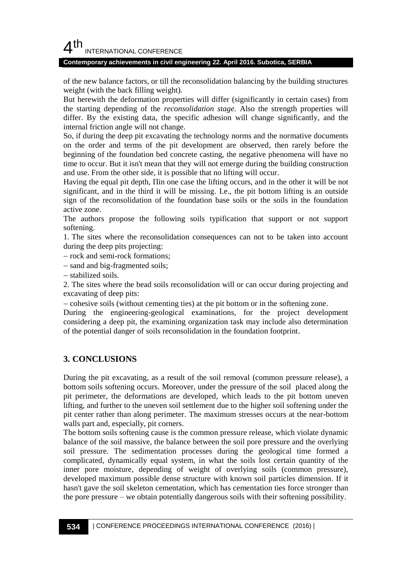## $4<sup>th</sup>$ INTERNATIONAL CONFERENCE

#### **Contemporary achievements in civil engineering 22. April 2016. Subotica, SERBIA**

of the new balance factors, or till the reconsolidation balancing by the building structures weight (with the back filling weight).

But herewith the deformation properties will differ (significantly in certain cases) from the starting depending of the *reconsolidation stage.* Also the strength properties will differ. By the existing data, the specific adhesion will change significantly, and the internal friction angle will not change.

So, if during the deep pit excavating the technology norms and the normative documents on the order and terms of the pit development are observed, then rarely before the beginning of the foundation bed concrete casting, the negative phenomena will have no time to occur. But it isn't mean that they will not emerge during the building construction and use. From the other side, it is possible that no lifting will occur.

Having the equal pit depth, Пin one case the lifting occurs, and in the other it will be not significant, and in the third it will be missing. I.e., the pit bottom lifting is an outside sign of the reconsolidation of the foundation base soils or the soils in the foundation active zone.

The authors propose the following soils typification that support or not support softening.

1. The sites where the reconsolidation consequences can not to be taken into account during the deep pits projecting:

- rock and semi-rock formations;

- sand and big-fragmented soils;

stabilized soils.

2. The sites where the bead soils reconsolidation will or can occur during projecting and excavating of deep pits:

cohesive soils (without cementing ties) at the pit bottom or in the softening zone.

During the engineering-geological examinations, for the project development considering a deep pit, the examining organization task may include also determination of the potential danger of soils reconsolidation in the foundation footprint.

## **3. CONCLUSIONS**

During the pit excavating, as a result of the soil removal (common pressure release), a bottom soils softening occurs. Moreover, under the pressure of the soil placed along the pit perimeter, the deformations are developed, which leads to the pit bottom uneven lifting, and further to the uneven soil settlement due to the higher soil softening under the pit center rather than along perimeter. The maximum stresses occurs at the near-bottom walls part and, especially, pit corners.

The bottom soils softening cause is the common pressure release, which violate dynamic balance of the soil massive, the balance between the soil pore pressure and the overlying soil pressure. The sedimentation processes during the geological time formed a complicated, dynamically equal system, in what the soils lost certain quantity of the inner pore moisture, depending of weight of overlying soils (common pressure), developed maximum possible dense structure with known soil particles dimension. If it hasn't gave the soil skeleton cementation, which has cementation ties force stronger than the pore pressure – we obtain potentially dangerous soils with their softening possibility.